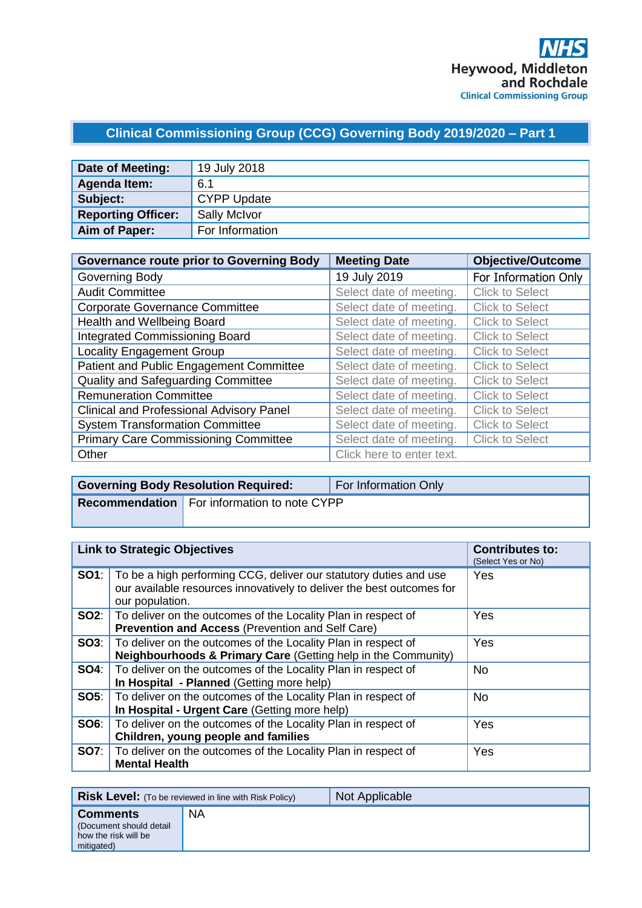# **Clinical Commissioning Group (CCG) Governing Body 2019/2020 – Part 1**

| Date of Meeting:          | 19 July 2018       |
|---------------------------|--------------------|
| Agenda Item:              | 6.1                |
| Subject:                  | <b>CYPP Update</b> |
| <b>Reporting Officer:</b> | Sally McIvor       |
| Aim of Paper:             | For Information    |

| <b>Governance route prior to Governing Body</b> | <b>Meeting Date</b>       | <b>Objective/Outcome</b> |
|-------------------------------------------------|---------------------------|--------------------------|
| Governing Body                                  | 19 July 2019              | For Information Only     |
| <b>Audit Committee</b>                          | Select date of meeting.   | <b>Click to Select</b>   |
| <b>Corporate Governance Committee</b>           | Select date of meeting.   | <b>Click to Select</b>   |
| Health and Wellbeing Board                      | Select date of meeting.   | <b>Click to Select</b>   |
| <b>Integrated Commissioning Board</b>           | Select date of meeting.   | <b>Click to Select</b>   |
| <b>Locality Engagement Group</b>                | Select date of meeting.   | <b>Click to Select</b>   |
| Patient and Public Engagement Committee         | Select date of meeting.   | <b>Click to Select</b>   |
| Quality and Safeguarding Committee              | Select date of meeting.   | <b>Click to Select</b>   |
| <b>Remuneration Committee</b>                   | Select date of meeting.   | <b>Click to Select</b>   |
| <b>Clinical and Professional Advisory Panel</b> | Select date of meeting.   | <b>Click to Select</b>   |
| <b>System Transformation Committee</b>          | Select date of meeting.   | <b>Click to Select</b>   |
| <b>Primary Care Commissioning Committee</b>     | Select date of meeting.   | <b>Click to Select</b>   |
| Other                                           | Click here to enter text. |                          |

| <b>Governing Body Resolution Required:</b>         | For Information Only |
|----------------------------------------------------|----------------------|
| <b>Recommendation</b> For information to note CYPP |                      |

| <b>Link to Strategic Objectives</b> |                                                                                                                                                                            | <b>Contributes to:</b><br>(Select Yes or No) |
|-------------------------------------|----------------------------------------------------------------------------------------------------------------------------------------------------------------------------|----------------------------------------------|
|                                     | <b>SO1</b> : To be a high performing CCG, deliver our statutory duties and use<br>our available resources innovatively to deliver the best outcomes for<br>our population. | Yes                                          |
|                                     | <b>SO2:</b>   To deliver on the outcomes of the Locality Plan in respect of<br><b>Prevention and Access (Prevention and Self Care)</b>                                     | Yes                                          |
|                                     | <b>SO3:</b>   To deliver on the outcomes of the Locality Plan in respect of<br>Neighbourhoods & Primary Care (Getting help in the Community)                               | Yes                                          |
|                                     | <b>SO4:</b> To deliver on the outcomes of the Locality Plan in respect of<br>In Hospital - Planned (Getting more help)                                                     | No.                                          |
|                                     | <b>SO5:</b>   To deliver on the outcomes of the Locality Plan in respect of<br>In Hospital - Urgent Care (Getting more help)                                               | <b>No</b>                                    |
|                                     | <b>SO6:</b>   To deliver on the outcomes of the Locality Plan in respect of<br>Children, young people and families                                                         | Yes                                          |
|                                     | <b>SO7:</b> To deliver on the outcomes of the Locality Plan in respect of<br><b>Mental Health</b>                                                                          | Yes                                          |

|                                                                                   | <b>Risk Level:</b> (To be reviewed in line with Risk Policy) | Not Applicable |
|-----------------------------------------------------------------------------------|--------------------------------------------------------------|----------------|
| <b>Comments</b><br>(Document should detail)<br>how the risk will be<br>mitigated) | NA                                                           |                |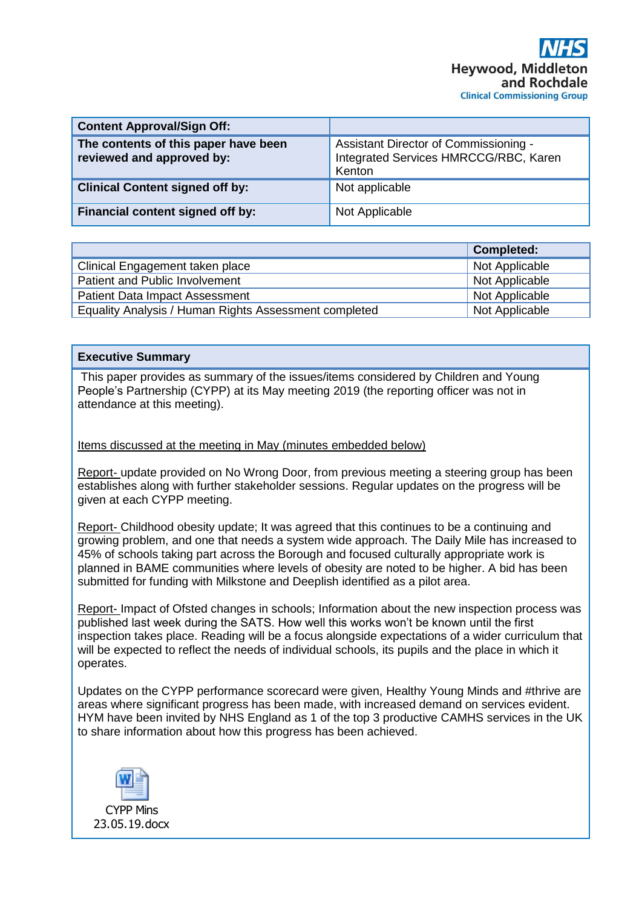| <b>Content Approval/Sign Off:</b>                                 |                                                                                          |
|-------------------------------------------------------------------|------------------------------------------------------------------------------------------|
| The contents of this paper have been<br>reviewed and approved by: | Assistant Director of Commissioning -<br>Integrated Services HMRCCG/RBC, Karen<br>Kenton |
| <b>Clinical Content signed off by:</b>                            | Not applicable                                                                           |
| Financial content signed off by:                                  | Not Applicable                                                                           |

|                                                       | Completed:     |
|-------------------------------------------------------|----------------|
| Clinical Engagement taken place                       | Not Applicable |
| Patient and Public Involvement                        | Not Applicable |
| <b>Patient Data Impact Assessment</b>                 | Not Applicable |
| Equality Analysis / Human Rights Assessment completed | Not Applicable |

#### **Executive Summary**

This paper provides as summary of the issues/items considered by Children and Young People's Partnership (CYPP) at its May meeting 2019 (the reporting officer was not in attendance at this meeting).

#### Items discussed at the meeting in May (minutes embedded below)

Report- update provided on No Wrong Door, from previous meeting a steering group has been establishes along with further stakeholder sessions. Regular updates on the progress will be given at each CYPP meeting.

Report- Childhood obesity update; It was agreed that this continues to be a continuing and growing problem, and one that needs a system wide approach. The Daily Mile has increased to 45% of schools taking part across the Borough and focused culturally appropriate work is planned in BAME communities where levels of obesity are noted to be higher. A bid has been submitted for funding with Milkstone and Deeplish identified as a pilot area.

Report- Impact of Ofsted changes in schools; Information about the new inspection process was published last week during the SATS. How well this works won't be known until the first inspection takes place. Reading will be a focus alongside expectations of a wider curriculum that will be expected to reflect the needs of individual schools, its pupils and the place in which it operates.

Updates on the CYPP performance scorecard were given, Healthy Young Minds and #thrive are areas where significant progress has been made, with increased demand on services evident. HYM have been invited by NHS England as 1 of the top 3 productive CAMHS services in the UK to share information about how this progress has been achieved.

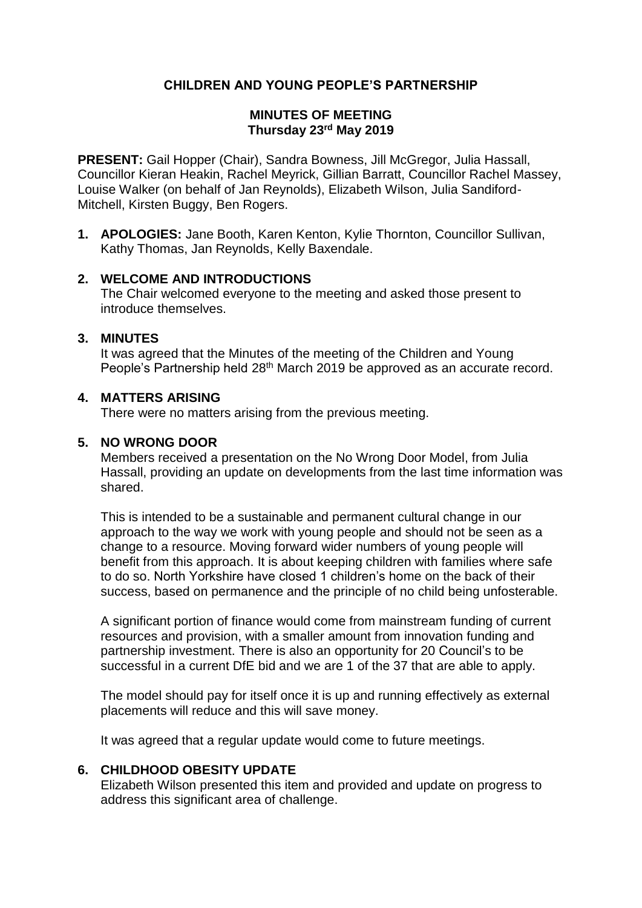# **CHILDREN AND YOUNG PEOPLE'S PARTNERSHIP**

#### **MINUTES OF MEETING Thursday 23rd May 2019**

**PRESENT:** Gail Hopper (Chair), Sandra Bowness, Jill McGregor, Julia Hassall, Councillor Kieran Heakin, Rachel Meyrick, Gillian Barratt, Councillor Rachel Massey, Louise Walker (on behalf of Jan Reynolds), Elizabeth Wilson, Julia Sandiford-Mitchell, Kirsten Buggy, Ben Rogers.

**1. APOLOGIES:** Jane Booth, Karen Kenton, Kylie Thornton, Councillor Sullivan, Kathy Thomas, Jan Reynolds, Kelly Baxendale.

#### **2. WELCOME AND INTRODUCTIONS**

The Chair welcomed everyone to the meeting and asked those present to introduce themselves.

#### **3. MINUTES**

It was agreed that the Minutes of the meeting of the Children and Young People's Partnership held 28<sup>th</sup> March 2019 be approved as an accurate record.

# **4. MATTERS ARISING**

There were no matters arising from the previous meeting.

#### **5. NO WRONG DOOR**

Members received a presentation on the No Wrong Door Model, from Julia Hassall, providing an update on developments from the last time information was shared.

This is intended to be a sustainable and permanent cultural change in our approach to the way we work with young people and should not be seen as a change to a resource. Moving forward wider numbers of young people will benefit from this approach. It is about keeping children with families where safe to do so. North Yorkshire have closed 1 children's home on the back of their success, based on permanence and the principle of no child being unfosterable.

A significant portion of finance would come from mainstream funding of current resources and provision, with a smaller amount from innovation funding and partnership investment. There is also an opportunity for 20 Council's to be successful in a current DfE bid and we are 1 of the 37 that are able to apply.

The model should pay for itself once it is up and running effectively as external placements will reduce and this will save money.

It was agreed that a regular update would come to future meetings.

#### **6. CHILDHOOD OBESITY UPDATE**

Elizabeth Wilson presented this item and provided and update on progress to address this significant area of challenge.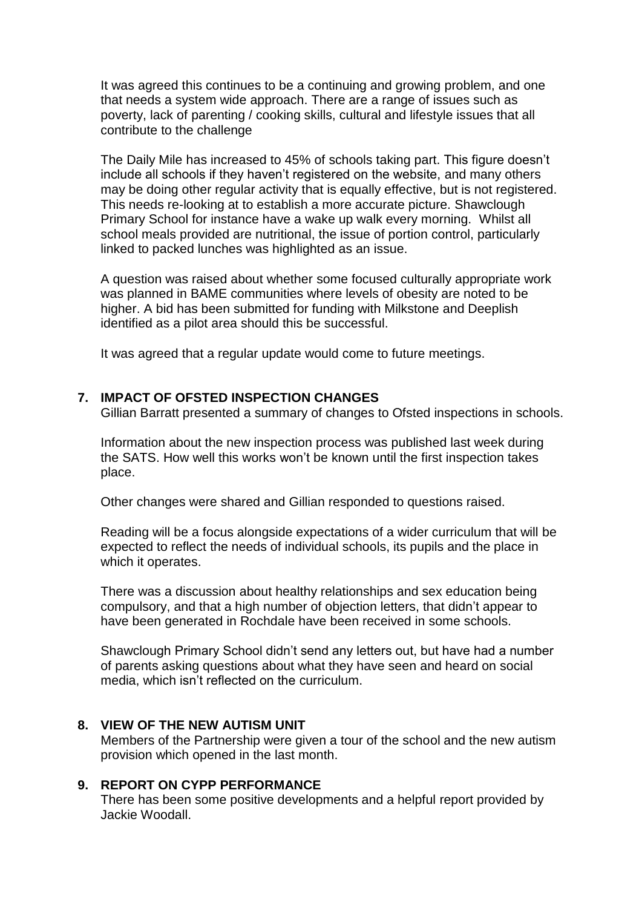It was agreed this continues to be a continuing and growing problem, and one that needs a system wide approach. There are a range of issues such as poverty, lack of parenting / cooking skills, cultural and lifestyle issues that all contribute to the challenge

The Daily Mile has increased to 45% of schools taking part. This figure doesn't include all schools if they haven't registered on the website, and many others may be doing other regular activity that is equally effective, but is not registered. This needs re-looking at to establish a more accurate picture. Shawclough Primary School for instance have a wake up walk every morning. Whilst all school meals provided are nutritional, the issue of portion control, particularly linked to packed lunches was highlighted as an issue.

A question was raised about whether some focused culturally appropriate work was planned in BAME communities where levels of obesity are noted to be higher. A bid has been submitted for funding with Milkstone and Deeplish identified as a pilot area should this be successful.

It was agreed that a regular update would come to future meetings.

### **7. IMPACT OF OFSTED INSPECTION CHANGES**

Gillian Barratt presented a summary of changes to Ofsted inspections in schools.

Information about the new inspection process was published last week during the SATS. How well this works won't be known until the first inspection takes place.

Other changes were shared and Gillian responded to questions raised.

Reading will be a focus alongside expectations of a wider curriculum that will be expected to reflect the needs of individual schools, its pupils and the place in which it operates.

There was a discussion about healthy relationships and sex education being compulsory, and that a high number of objection letters, that didn't appear to have been generated in Rochdale have been received in some schools.

Shawclough Primary School didn't send any letters out, but have had a number of parents asking questions about what they have seen and heard on social media, which isn't reflected on the curriculum.

### **8. VIEW OF THE NEW AUTISM UNIT**

Members of the Partnership were given a tour of the school and the new autism provision which opened in the last month.

# **9. REPORT ON CYPP PERFORMANCE**

There has been some positive developments and a helpful report provided by Jackie Woodall.